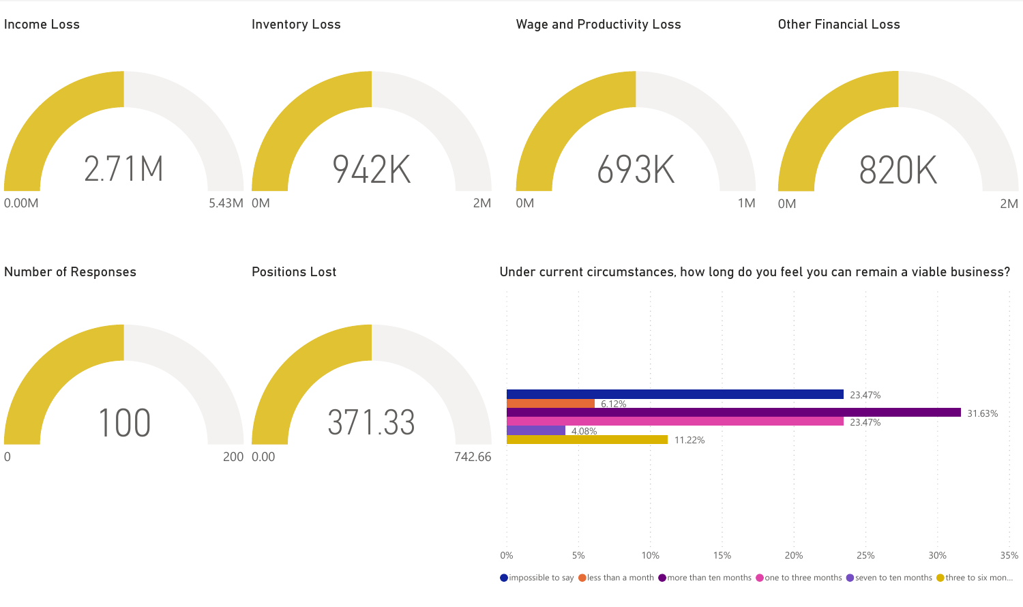

 $\bigcirc$  impossible to say  $\bigcirc$  less than a month  $\bigcirc$  more than ten months  $\bigcirc$  one to three months  $\bigcirc$  seven to ten months  $\bigcirc$  three to six mon...